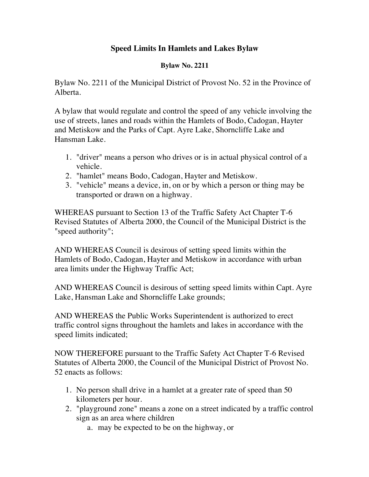## **Speed Limits In Hamlets and Lakes Bylaw**

## **Bylaw No. 2211**

Bylaw No. 2211 of the Municipal District of Provost No. 52 in the Province of Alberta.

A bylaw that would regulate and control the speed of any vehicle involving the use of streets, lanes and roads within the Hamlets of Bodo, Cadogan, Hayter and Metiskow and the Parks of Capt. Ayre Lake, Shorncliffe Lake and Hansman Lake.

- 1. "driver" means a person who drives or is in actual physical control of a vehicle.
- 2. "hamlet" means Bodo, Cadogan, Hayter and Metiskow.
- 3. "vehicle" means a device, in, on or by which a person or thing may be transported or drawn on a highway.

WHEREAS pursuant to Section 13 of the Traffic Safety Act Chapter T-6 Revised Statutes of Alberta 2000, the Council of the Municipal District is the "speed authority";

AND WHEREAS Council is desirous of setting speed limits within the Hamlets of Bodo, Cadogan, Hayter and Metiskow in accordance with urban area limits under the Highway Traffic Act;

AND WHEREAS Council is desirous of setting speed limits within Capt. Ayre Lake, Hansman Lake and Shorncliffe Lake grounds;

AND WHEREAS the Public Works Superintendent is authorized to erect traffic control signs throughout the hamlets and lakes in accordance with the speed limits indicated;

NOW THEREFORE pursuant to the Traffic Safety Act Chapter T-6 Revised Statutes of Alberta 2000, the Council of the Municipal District of Provost No. 52 enacts as follows:

- 1. No person shall drive in a hamlet at a greater rate of speed than 50 kilometers per hour.
- 2. "playground zone" means a zone on a street indicated by a traffic control sign as an area where children
	- a. may be expected to be on the highway, or